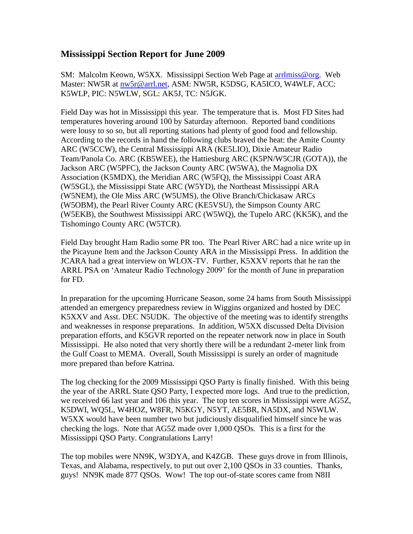## **Mississippi Section Report for June 2009**

SM: Malcolm Keown, W5XX. Mississippi Section Web Page at arrilmiss@org. Web Master: NW5R at [nw5r@arrl.net,](mailto:nw5r@arrl.net) ASM: NW5R, K5DSG, KA5ICO, W4WLF, ACC: K5WLP, PIC: N5WLW, SGL: AK5J, TC: N5JGK.

Field Day was hot in Mississippi this year. The temperature that is. Most FD Sites had temperatures hovering around 100 by Saturday afternoon. Reported band conditions were lousy to so so, but all reporting stations had plenty of good food and fellowship. According to the records in hand the following clubs braved the heat: the Amite County ARC (W5CCW), the Central Mississippi ARA (KE5LIO), Dixie Amateur Radio Team/Panola Co. ARC (KB5WEE), the Hattiesburg ARC (K5PN/W5CJR (GOTA)), the Jackson ARC (W5PFC), the Jackson County ARC (W5WA), the Magnolia DX Association (K5MDX), the Meridian ARC (W5FQ), the Mississippi Coast ARA (W5SGL), the Mississippi State ARC (W5YD), the Northeast Mississippi ARA (W5NEM), the Ole Miss ARC (W5UMS), the Olive Branch/Chickasaw ARCs (W5OBM), the Pearl River County ARC (KE5VSU), the Simpson County ARC (W5EKB), the Southwest Mississippi ARC (W5WQ), the Tupelo ARC (KK5K), and the Tishomingo County ARC (W5TCR).

Field Day brought Ham Radio some PR too. The Pearl River ARC had a nice write up in the Picayune Item and the Jackson County ARA in the Mississippi Press. In addition the JCARA had a great interview on WLOX-TV. Further, K5XXV reports that he ran the ARRL PSA on 'Amateur Radio Technology 2009' for the month of June in preparation for FD.

In preparation for the upcoming Hurricane Season, some 24 hams from South Mississippi attended an emergency preparedness review in Wiggins organized and hosted by DEC K5XXV and Asst. DEC N5UDK. The objective of the meeting was to identify strengths and weaknesses in response preparations. In addition, W5XX discussed Delta Division preparation efforts, and K5GVR reported on the repeater network now in place in South Mississippi. He also noted that very shortly there will be a redundant 2-meter link from the Gulf Coast to MEMA. Overall, South Mississippi is surely an order of magnitude more prepared than before Katrina.

The log checking for the 2009 Mississippi QSO Party is finally finished. With this being the year of the ARRL State QSO Party, I expected more logs. And true to the prediction, we received 66 last year and 106 this year. The top ten scores in Mississippi were AG5Z, K5DWI, WQ5L, W4HOZ, W8FR, N5KGY, N5YT, AE5BR, NA5DX, and N5WLW. W5XX would have been number two but judiciously disqualified himself since he was checking the logs. Note that AG5Z made over 1,000 QSOs. This is a first for the Mississippi QSO Party. Congratulations Larry!

The top mobiles were NN9K, W3DYA, and K4ZGB. These guys drove in from Illinois, Texas, and Alabama, respectively, to put out over 2,100 QSOs in 33 counties. Thanks, guys! NN9K made 877 QSOs. Wow! The top out-of-state scores came from N8II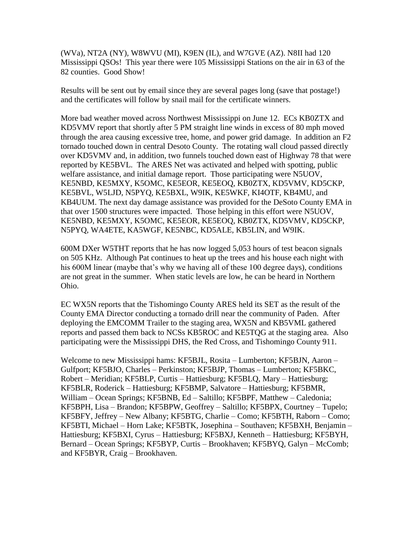(WVa), NT2A (NY), W8WVU (MI), K9EN (IL), and W7GVE (AZ). N8II had 120 Mississippi QSOs! This year there were 105 Mississippi Stations on the air in 63 of the 82 counties. Good Show!

Results will be sent out by email since they are several pages long (save that postage!) and the certificates will follow by snail mail for the certificate winners.

More bad weather moved across Northwest Mississippi on June 12. ECs KB0ZTX and KD5VMV report that shortly after 5 PM straight line winds in excess of 80 mph moved through the area causing excessive tree, home, and power grid damage. In addition an F2 tornado touched down in central Desoto County. The rotating wall cloud passed directly over KD5VMV and, in addition, two funnels touched down east of Highway 78 that were reported by KE5BVL. The ARES Net was activated and helped with spotting, public welfare assistance, and initial damage report. Those participating were N5UOV, KE5NBD, KE5MXY, K5OMC, KE5EOR, KE5EOQ, KB0ZTX, KD5VMV, KD5CKP, KE5BVL, W5LJD, N5PYQ, KE5BXL, W9IK, KE5WKF, KI4OTF, KB4MU, and KB4UUM. The next day damage assistance was provided for the DeSoto County EMA in that over 1500 structures were impacted. Those helping in this effort were N5UOV, KE5NBD, KE5MXY, K5OMC, KE5EOR, KE5EOQ, KB0ZTX, KD5VMV, KD5CKP, N5PYQ, WA4ETE, KA5WGF, KE5NBC, KD5ALE, KB5LIN, and W9IK.

600M DXer W5THT reports that he has now logged 5,053 hours of test beacon signals on 505 KHz. Although Pat continues to heat up the trees and his house each night with his 600M linear (maybe that's why we having all of these 100 degree days), conditions are not great in the summer. When static levels are low, he can be heard in Northern Ohio.

EC WX5N reports that the Tishomingo County ARES held its SET as the result of the County EMA Director conducting a tornado drill near the community of Paden. After deploying the EMCOMM Trailer to the staging area, WX5N and KB5VML gathered reports and passed them back to NCSs KB5ROC and KE5TQG at the staging area. Also participating were the Mississippi DHS, the Red Cross, and Tishomingo County 911.

Welcome to new Mississippi hams: KF5BJL, Rosita – Lumberton; KF5BJN, Aaron – Gulfport; KF5BJO, Charles – Perkinston; KF5BJP, Thomas – Lumberton; KF5BKC, Robert – Meridian; KF5BLP, Curtis – Hattiesburg; KF5BLQ, Mary – Hattiesburg; KF5BLR, Roderick – Hattiesburg; KF5BMP, Salvatore – Hattiesburg; KF5BMR, William – Ocean Springs; KF5BNB, Ed – Saltillo; KF5BPF, Matthew – Caledonia; KF5BPH, Lisa – Brandon; KF5BPW, Geoffrey – Saltillo; KF5BPX, Courtney – Tupelo; KF5BFY, Jeffrey – New Albany; KF5BTG, Charlie – Como; KF5BTH, Raborn – Como; KF5BTI, Michael – Horn Lake; KF5BTK, Josephina – Southaven; KF5BXH, Benjamin – Hattiesburg; KF5BXI, Cyrus – Hattiesburg; KF5BXJ, Kenneth – Hattiesburg; KF5BYH, Bernard – Ocean Springs; KF5BYP, Curtis – Brookhaven; KF5BYQ, Galyn – McComb; and KF5BYR, Craig – Brookhaven.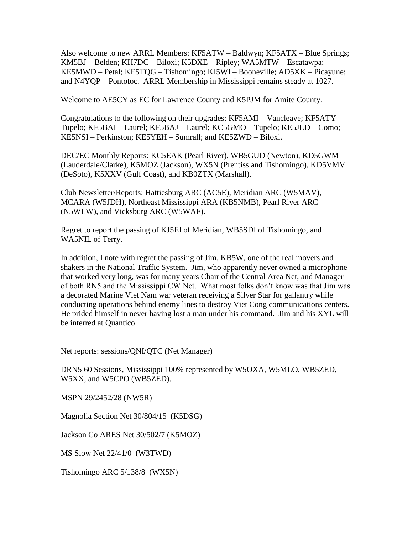Also welcome to new ARRL Members: KF5ATW – Baldwyn; KF5ATX – Blue Springs; KM5BJ – Belden; KH7DC – Biloxi; K5DXE – Ripley; WA5MTW – Escatawpa; KE5MWD – Petal; KE5TQG – Tishomingo; KI5WI – Booneville; AD5XK – Picayune; and N4YQP – Pontotoc. ARRL Membership in Mississippi remains steady at 1027.

Welcome to AE5CY as EC for Lawrence County and K5PJM for Amite County.

Congratulations to the following on their upgrades: KF5AMI – Vancleave; KF5ATY – Tupelo; KF5BAI – Laurel; KF5BAJ – Laurel; KC5GMO – Tupelo; KE5JLD – Como; KE5NSI – Perkinston; KE5YEH – Sumrall; and KE5ZWD – Biloxi.

DEC/EC Monthly Reports: KC5EAK (Pearl River), WB5GUD (Newton), KD5GWM (Lauderdale/Clarke), K5MOZ (Jackson), WX5N (Prentiss and Tishomingo), KD5VMV (DeSoto), K5XXV (Gulf Coast), and KB0ZTX (Marshall).

Club Newsletter/Reports: Hattiesburg ARC (AC5E), Meridian ARC (W5MAV), MCARA (W5JDH), Northeast Mississippi ARA (KB5NMB), Pearl River ARC (N5WLW), and Vicksburg ARC (W5WAF).

Regret to report the passing of KJ5EI of Meridian, WB5SDI of Tishomingo, and WA5NIL of Terry.

In addition, I note with regret the passing of Jim, KB5W, one of the real movers and shakers in the National Traffic System. Jim, who apparently never owned a microphone that worked very long, was for many years Chair of the Central Area Net, and Manager of both RN5 and the Mississippi CW Net. What most folks don't know was that Jim was a decorated Marine Viet Nam war veteran receiving a Silver Star for gallantry while conducting operations behind enemy lines to destroy Viet Cong communications centers. He prided himself in never having lost a man under his command. Jim and his XYL will be interred at Quantico.

Net reports: sessions/QNI/QTC (Net Manager)

DRN5 60 Sessions, Mississippi 100% represented by W5OXA, W5MLO, WB5ZED, W5XX, and W5CPO (WB5ZED).

MSPN 29/2452/28 (NW5R)

Magnolia Section Net 30/804/15 (K5DSG)

Jackson Co ARES Net 30/502/7 (K5MOZ)

MS Slow Net 22/41/0 (W3TWD)

Tishomingo ARC 5/138/8 (WX5N)